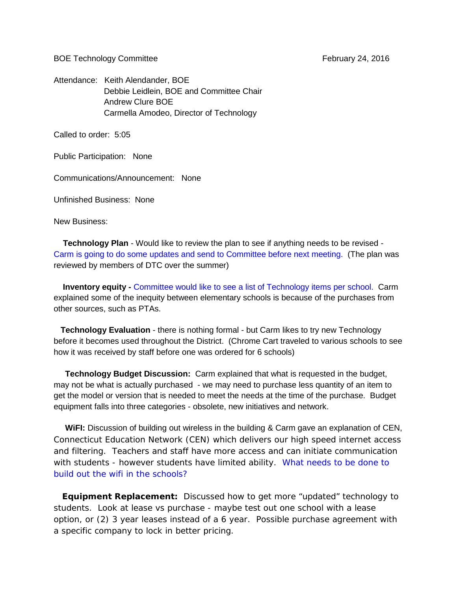BOE Technology Committee **February 24, 2016** 

Attendance: Keith Alendander, BOE Debbie Leidlein, BOE and Committee Chair Andrew Clure BOE Carmella Amodeo, Director of Technology

Called to order: 5:05

Public Participation: None

Communications/Announcement: None

Unfinished Business: None

New Business:

 **Technology Plan** - Would like to review the plan to see if anything needs to be revised - Carm is going to do some updates and send to Committee before next meeting. (The plan was reviewed by members of DTC over the summer)

 **Inventory equity -** Committee would like to see a list of Technology items per school. Carm explained some of the inequity between elementary schools is because of the purchases from other sources, such as PTAs.

 **Technology Evaluation** - there is nothing formal - but Carm likes to try new Technology before it becomes used throughout the District. (Chrome Cart traveled to various schools to see how it was received by staff before one was ordered for 6 schools)

 **Technology Budget Discussion:** Carm explained that what is requested in the budget, may not be what is actually purchased - we may need to purchase less quantity of an item to get the model or version that is needed to meet the needs at the time of the purchase. Budget equipment falls into three categories - obsolete, new initiatives and network.

 **WiFI:** Discussion of building out wireless in the building & Carm gave an explanation of CEN, Connecticut Education Network (CEN) which delivers our high speed internet access and filtering. Teachers and staff have more access and can initiate communication with students - however students have limited ability. What needs to be done to build out the wifi in the schools?

 **Equipment Replacement:** Discussed how to get more "updated" technology to students. Look at lease vs purchase - maybe test out one school with a lease option, or (2) 3 year leases instead of a 6 year. Possible purchase agreement with a specific company to lock in better pricing.